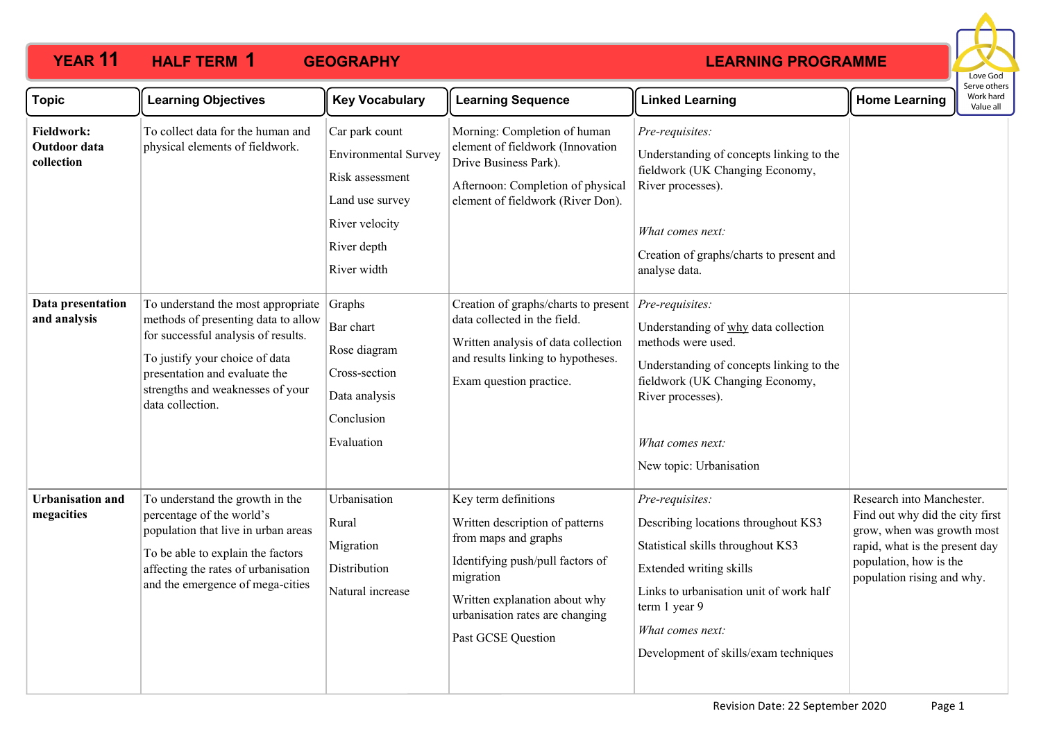

| <b>Topic</b>                             | <b>Learning Objectives</b>                                                                                                                                                                                                                  | <b>Key Vocabulary</b>                                                                                                               | <b>Learning Sequence</b>                                                                                                                                                                                                   | <b>Linked Learning</b>                                                                                                                                                                                                                                 | <b>Home Learning</b>                                                                                                                                                                 | Serve others<br>Work hard<br>Value all |
|------------------------------------------|---------------------------------------------------------------------------------------------------------------------------------------------------------------------------------------------------------------------------------------------|-------------------------------------------------------------------------------------------------------------------------------------|----------------------------------------------------------------------------------------------------------------------------------------------------------------------------------------------------------------------------|--------------------------------------------------------------------------------------------------------------------------------------------------------------------------------------------------------------------------------------------------------|--------------------------------------------------------------------------------------------------------------------------------------------------------------------------------------|----------------------------------------|
| Fieldwork:<br>Outdoor data<br>collection | To collect data for the human and<br>physical elements of fieldwork.                                                                                                                                                                        | Car park count<br><b>Environmental Survey</b><br>Risk assessment<br>Land use survey<br>River velocity<br>River depth<br>River width | Morning: Completion of human<br>element of fieldwork (Innovation<br>Drive Business Park).<br>Afternoon: Completion of physical<br>element of fieldwork (River Don).                                                        | Pre-requisites:<br>Understanding of concepts linking to the<br>fieldwork (UK Changing Economy,<br>River processes).<br>What comes next:<br>Creation of graphs/charts to present and<br>analyse data.                                                   |                                                                                                                                                                                      |                                        |
| Data presentation<br>and analysis        | To understand the most appropriate<br>methods of presenting data to allow<br>for successful analysis of results.<br>To justify your choice of data<br>presentation and evaluate the<br>strengths and weaknesses of your<br>data collection. | Graphs<br>Bar chart<br>Rose diagram<br>Cross-section<br>Data analysis<br>Conclusion<br>Evaluation                                   | Creation of graphs/charts to present<br>data collected in the field.<br>Written analysis of data collection<br>and results linking to hypotheses.<br>Exam question practice.                                               | Pre-requisites:<br>Understanding of why data collection<br>methods were used.<br>Understanding of concepts linking to the<br>fieldwork (UK Changing Economy,<br>River processes).<br>What comes next:<br>New topic: Urbanisation                       |                                                                                                                                                                                      |                                        |
| <b>Urbanisation</b> and<br>megacities    | To understand the growth in the<br>percentage of the world's<br>population that live in urban areas<br>To be able to explain the factors<br>affecting the rates of urbanisation<br>and the emergence of mega-cities                         | Urbanisation<br>Rural<br>Migration<br>Distribution<br>Natural increase                                                              | Key term definitions<br>Written description of patterns<br>from maps and graphs<br>Identifying push/pull factors of<br>migration<br>Written explanation about why<br>urbanisation rates are changing<br>Past GCSE Question | Pre-requisites:<br>Describing locations throughout KS3<br>Statistical skills throughout KS3<br><b>Extended writing skills</b><br>Links to urbanisation unit of work half<br>term 1 year 9<br>What comes next:<br>Development of skills/exam techniques | Research into Manchester.<br>Find out why did the city first<br>grow, when was growth most<br>rapid, what is the present day<br>population, how is the<br>population rising and why. |                                        |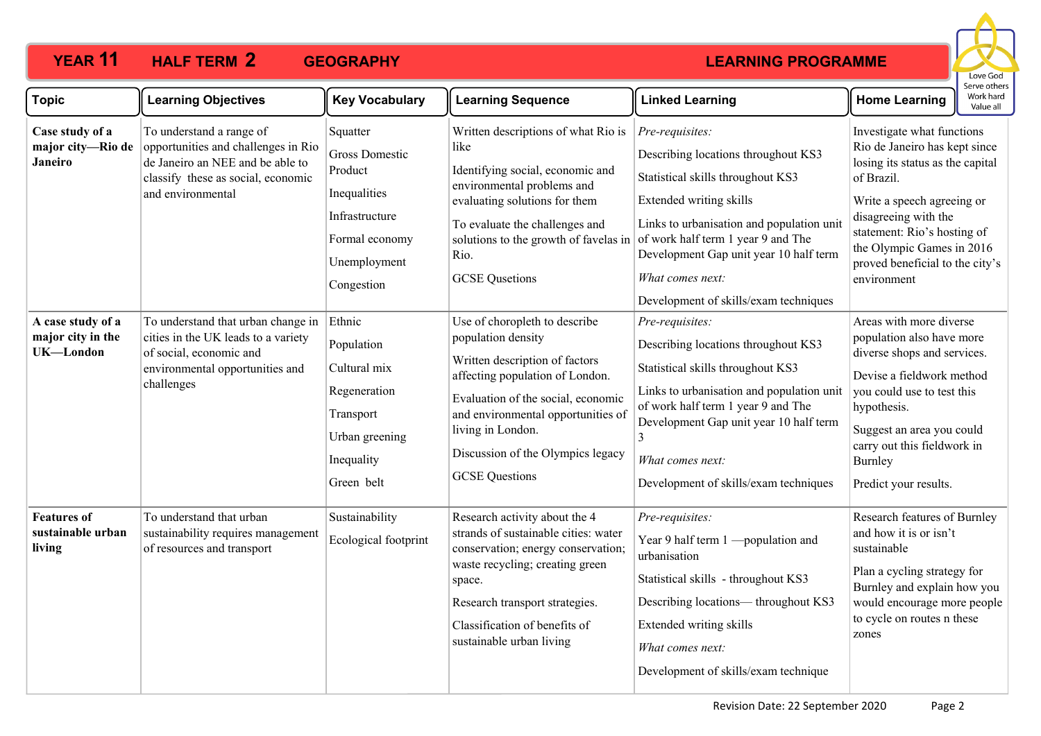

| <b>Topic</b>                                           | <b>Learning Objectives</b>                                                                                                                                     | <b>Key Vocabulary</b>                                                                                                   | <b>Learning Sequence</b>                                                                                                                                                                                                                                                                | <b>Linked Learning</b>                                                                                                                                                                                                                                                                                           | <b>Home Learning</b>                                                                                                                                                                                                                                                              | Work hard<br>Value all |
|--------------------------------------------------------|----------------------------------------------------------------------------------------------------------------------------------------------------------------|-------------------------------------------------------------------------------------------------------------------------|-----------------------------------------------------------------------------------------------------------------------------------------------------------------------------------------------------------------------------------------------------------------------------------------|------------------------------------------------------------------------------------------------------------------------------------------------------------------------------------------------------------------------------------------------------------------------------------------------------------------|-----------------------------------------------------------------------------------------------------------------------------------------------------------------------------------------------------------------------------------------------------------------------------------|------------------------|
| Case study of a<br>major city-Rio de<br><b>Janeiro</b> | To understand a range of<br>opportunities and challenges in Rio<br>de Janeiro an NEE and be able to<br>classify these as social, economic<br>and environmental | Squatter<br>Gross Domestic<br>Product<br>Inequalities<br>Infrastructure<br>Formal economy<br>Unemployment<br>Congestion | Written descriptions of what Rio is<br>like<br>Identifying social, economic and<br>environmental problems and<br>evaluating solutions for them<br>To evaluate the challenges and<br>solutions to the growth of favelas in<br>Rio.<br><b>GCSE</b> Qusetions                              | Pre-requisites:<br>Describing locations throughout KS3<br>Statistical skills throughout KS3<br>Extended writing skills<br>Links to urbanisation and population unit<br>of work half term 1 year 9 and The<br>Development Gap unit year 10 half term<br>What comes next:<br>Development of skills/exam techniques | Investigate what functions<br>Rio de Janeiro has kept since<br>losing its status as the capital<br>of Brazil.<br>Write a speech agreeing or<br>disagreeing with the<br>statement: Rio's hosting of<br>the Olympic Games in 2016<br>proved beneficial to the city's<br>environment |                        |
| A case study of a<br>major city in the<br>UK-London    | To understand that urban change in Ethnic<br>cities in the UK leads to a variety<br>of social, economic and<br>environmental opportunities and<br>challenges   | Population<br>Cultural mix<br>Regeneration<br>Transport<br>Urban greening<br>Inequality<br>Green belt                   | Use of choropleth to describe<br>population density<br>Written description of factors<br>affecting population of London.<br>Evaluation of the social, economic<br>and environmental opportunities of<br>living in London.<br>Discussion of the Olympics legacy<br><b>GCSE</b> Questions | Pre-requisites:<br>Describing locations throughout KS3<br>Statistical skills throughout KS3<br>Links to urbanisation and population unit<br>of work half term 1 year 9 and The<br>Development Gap unit year 10 half term<br>3<br>What comes next:<br>Development of skills/exam techniques                       | Areas with more diverse<br>population also have more<br>diverse shops and services.<br>Devise a fieldwork method<br>you could use to test this<br>hypothesis.<br>Suggest an area you could<br>carry out this fieldwork in<br>Burnley<br>Predict your results.                     |                        |
| <b>Features of</b><br>sustainable urban<br>living      | To understand that urban<br>sustainability requires management<br>of resources and transport                                                                   | Sustainability<br>Ecological footprint                                                                                  | Research activity about the 4<br>strands of sustainable cities: water<br>conservation; energy conservation;<br>waste recycling; creating green<br>space.<br>Research transport strategies.<br>Classification of benefits of<br>sustainable urban living                                 | Pre-requisites:<br>Year 9 half term 1 - population and<br>urbanisation<br>Statistical skills - throughout KS3<br>Describing locations-throughout KS3<br>Extended writing skills<br>What comes next:<br>Development of skills/exam technique                                                                      | Research features of Burnley<br>and how it is or isn't<br>sustainable<br>Plan a cycling strategy for<br>Burnley and explain how you<br>would encourage more people<br>to cycle on routes n these<br>zones                                                                         |                        |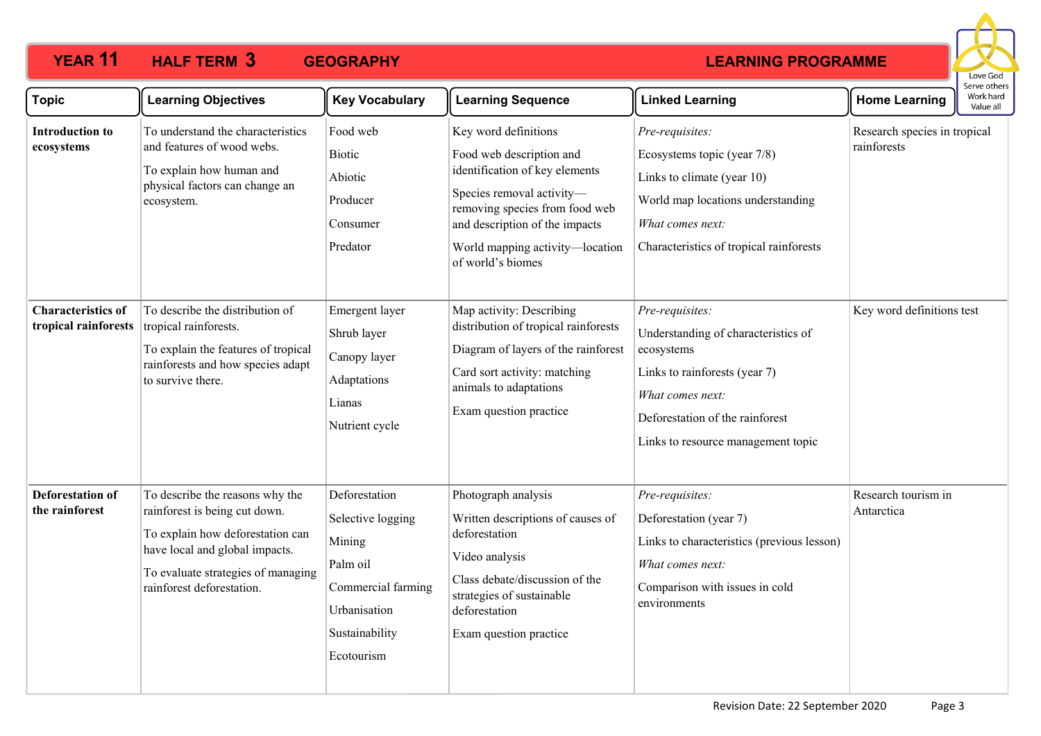

| Topic                                             | <b>Learning Objectives</b>                                                                                                                                                                                | <b>Key Vocabulary</b>                                                                                                          | <b>Learning Sequence</b>                                                                                                                                                                                                                    | <b>Linked Learning</b>                                                                                                                                                                             | <b>Home Learning</b>                        | <b>SEI VE OUTER</b><br>Work hard<br>Value all |
|---------------------------------------------------|-----------------------------------------------------------------------------------------------------------------------------------------------------------------------------------------------------------|--------------------------------------------------------------------------------------------------------------------------------|---------------------------------------------------------------------------------------------------------------------------------------------------------------------------------------------------------------------------------------------|----------------------------------------------------------------------------------------------------------------------------------------------------------------------------------------------------|---------------------------------------------|-----------------------------------------------|
| <b>Introduction to</b><br>ecosystems              | To understand the characteristics<br>and features of wood webs.<br>To explain how human and<br>physical factors can change an<br>ecosystem.                                                               | Food web<br>Biotic<br>Abiotic<br>Producer<br>Consumer<br>Predator                                                              | Key word definitions<br>Food web description and<br>identification of key elements<br>Species removal activity-<br>removing species from food web<br>and description of the impacts<br>World mapping activity-location<br>of world's biomes | Pre-requisites:<br>Ecosystems topic (year 7/8)<br>Links to climate (year 10)<br>World map locations understanding<br>What comes next:<br>Characteristics of tropical rainforests                   | Research species in tropical<br>rainforests |                                               |
| <b>Characteristics of</b><br>tropical rainforests | To describe the distribution of<br>tropical rainforests.<br>To explain the features of tropical<br>rainforests and how species adapt<br>to survive there.                                                 | Emergent layer<br>Shrub layer<br>Canopy layer<br>Adaptations<br>Lianas<br>Nutrient cycle                                       | Map activity: Describing<br>distribution of tropical rainforests<br>Diagram of layers of the rainforest<br>Card sort activity: matching<br>animals to adaptations<br>Exam question practice                                                 | Pre-requisites:<br>Understanding of characteristics of<br>ecosystems<br>Links to rainforests (year 7)<br>What comes next:<br>Deforestation of the rainforest<br>Links to resource management topic | Key word definitions test                   |                                               |
| <b>Deforestation of</b><br>the rainforest         | To describe the reasons why the<br>rainforest is being cut down.<br>To explain how deforestation can<br>have local and global impacts.<br>To evaluate strategies of managing<br>rainforest deforestation. | Deforestation<br>Selective logging<br>Mining<br>Palm oil<br>Commercial farming<br>Urbanisation<br>Sustainability<br>Ecotourism | Photograph analysis<br>Written descriptions of causes of<br>deforestation<br>Video analysis<br>Class debate/discussion of the<br>strategies of sustainable<br>deforestation<br>Exam question practice                                       | Pre-requisites:<br>Deforestation (year 7)<br>Links to characteristics (previous lesson)<br>What comes next:<br>Comparison with issues in cold<br>environments                                      | Research tourism in<br>Antarctica           |                                               |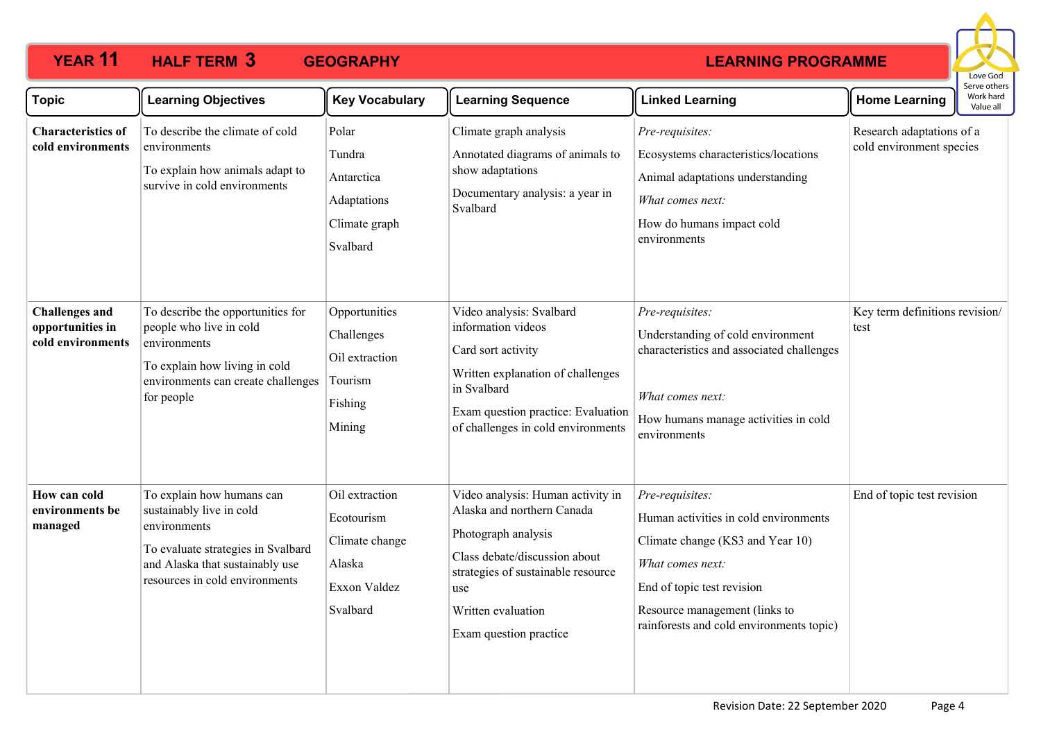

| <b>Topic</b>                                                   | <b>Learning Objectives</b>                                                                                                                                                       | <b>Key Vocabulary</b>                                                                | <b>Learning Sequence</b>                                                                                                                                                                                             | <b>Linked Learning</b>                                                                                                                                                                                                      | <b>Home Learning</b>                                  | Serve others<br>Work hard<br>Value all |
|----------------------------------------------------------------|----------------------------------------------------------------------------------------------------------------------------------------------------------------------------------|--------------------------------------------------------------------------------------|----------------------------------------------------------------------------------------------------------------------------------------------------------------------------------------------------------------------|-----------------------------------------------------------------------------------------------------------------------------------------------------------------------------------------------------------------------------|-------------------------------------------------------|----------------------------------------|
| <b>Characteristics of</b><br>cold environments                 | To describe the climate of cold<br>environments<br>To explain how animals adapt to<br>survive in cold environments                                                               | Polar<br>Tundra<br>Antarctica<br>Adaptations<br>Climate graph<br>Svalbard            | Climate graph analysis<br>Annotated diagrams of animals to<br>show adaptations<br>Documentary analysis: a year in<br>Svalbard                                                                                        | Pre-requisites:<br>Ecosystems characteristics/locations<br>Animal adaptations understanding<br>What comes next:<br>How do humans impact cold<br>environments                                                                | Research adaptations of a<br>cold environment species |                                        |
| <b>Challenges and</b><br>opportunities in<br>cold environments | To describe the opportunities for<br>people who live in cold<br>environments<br>To explain how living in cold<br>environments can create challenges<br>for people                | Opportunities<br>Challenges<br>Oil extraction<br>Tourism<br>Fishing<br>Mining        | Video analysis: Svalbard<br>information videos<br>Card sort activity<br>Written explanation of challenges<br>in Svalbard<br>Exam question practice: Evaluation<br>of challenges in cold environments                 | Pre-requisites:<br>Understanding of cold environment<br>characteristics and associated challenges<br>What comes next:<br>How humans manage activities in cold<br>environments                                               | Key term definitions revision/<br>test                |                                        |
| How can cold<br>environments be<br>managed                     | To explain how humans can<br>sustainably live in cold<br>environments<br>To evaluate strategies in Svalbard<br>and Alaska that sustainably use<br>resources in cold environments | Oil extraction<br>Ecotourism<br>Climate change<br>Alaska<br>Exxon Valdez<br>Svalbard | Video analysis: Human activity in<br>Alaska and northern Canada<br>Photograph analysis<br>Class debate/discussion about<br>strategies of sustainable resource<br>use<br>Written evaluation<br>Exam question practice | Pre-requisites:<br>Human activities in cold environments<br>Climate change (KS3 and Year 10)<br>What comes next:<br>End of topic test revision<br>Resource management (links to<br>rainforests and cold environments topic) | End of topic test revision                            |                                        |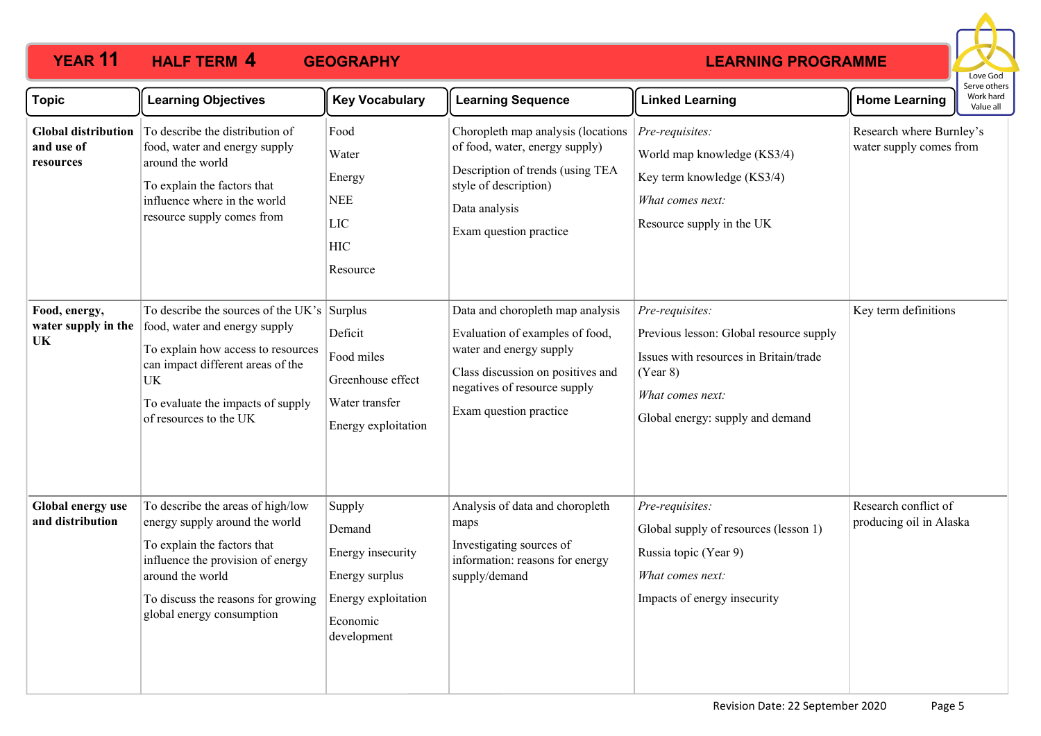

| Topic                                                 | <b>Learning Objectives</b>                                                                                                                                                                                                          | <b>Key Vocabulary</b>                                                                                     | <b>Learning Sequence</b>                                                                                                                                                                      | <b>Linked Learning</b>                                                                                                                                                   | <b>Home Learning</b>                                | serve others<br>Work hard<br>Value all |
|-------------------------------------------------------|-------------------------------------------------------------------------------------------------------------------------------------------------------------------------------------------------------------------------------------|-----------------------------------------------------------------------------------------------------------|-----------------------------------------------------------------------------------------------------------------------------------------------------------------------------------------------|--------------------------------------------------------------------------------------------------------------------------------------------------------------------------|-----------------------------------------------------|----------------------------------------|
| <b>Global distribution</b><br>and use of<br>resources | To describe the distribution of<br>food, water and energy supply<br>around the world<br>To explain the factors that<br>influence where in the world<br>resource supply comes from                                                   | Food<br>Water<br>Energy<br><b>NEE</b><br>LIC<br><b>HIC</b><br>Resource                                    | Choropleth map analysis (locations<br>of food, water, energy supply)<br>Description of trends (using TEA<br>style of description)<br>Data analysis<br>Exam question practice                  | Pre-requisites:<br>World map knowledge (KS3/4)<br>Key term knowledge (KS3/4)<br>What comes next:<br>Resource supply in the UK                                            | Research where Burnley's<br>water supply comes from |                                        |
| Food, energy,<br>water supply in the<br>UK            | To describe the sources of the UK's Surplus<br>food, water and energy supply<br>To explain how access to resources<br>can impact different areas of the<br><b>UK</b><br>To evaluate the impacts of supply<br>of resources to the UK | Deficit<br>Food miles<br>Greenhouse effect<br>Water transfer<br>Energy exploitation                       | Data and choropleth map analysis<br>Evaluation of examples of food,<br>water and energy supply<br>Class discussion on positives and<br>negatives of resource supply<br>Exam question practice | Pre-requisites:<br>Previous lesson: Global resource supply<br>Issues with resources in Britain/trade<br>(Year 8)<br>What comes next:<br>Global energy: supply and demand | Key term definitions                                |                                        |
| Global energy use<br>and distribution                 | To describe the areas of high/low<br>energy supply around the world<br>To explain the factors that<br>influence the provision of energy<br>around the world<br>To discuss the reasons for growing<br>global energy consumption      | Supply<br>Demand<br>Energy insecurity<br>Energy surplus<br>Energy exploitation<br>Economic<br>development | Analysis of data and choropleth<br>maps<br>Investigating sources of<br>information: reasons for energy<br>supply/demand                                                                       | Pre-requisites:<br>Global supply of resources (lesson 1)<br>Russia topic (Year 9)<br>What comes next:<br>Impacts of energy insecurity                                    | Research conflict of<br>producing oil in Alaska     |                                        |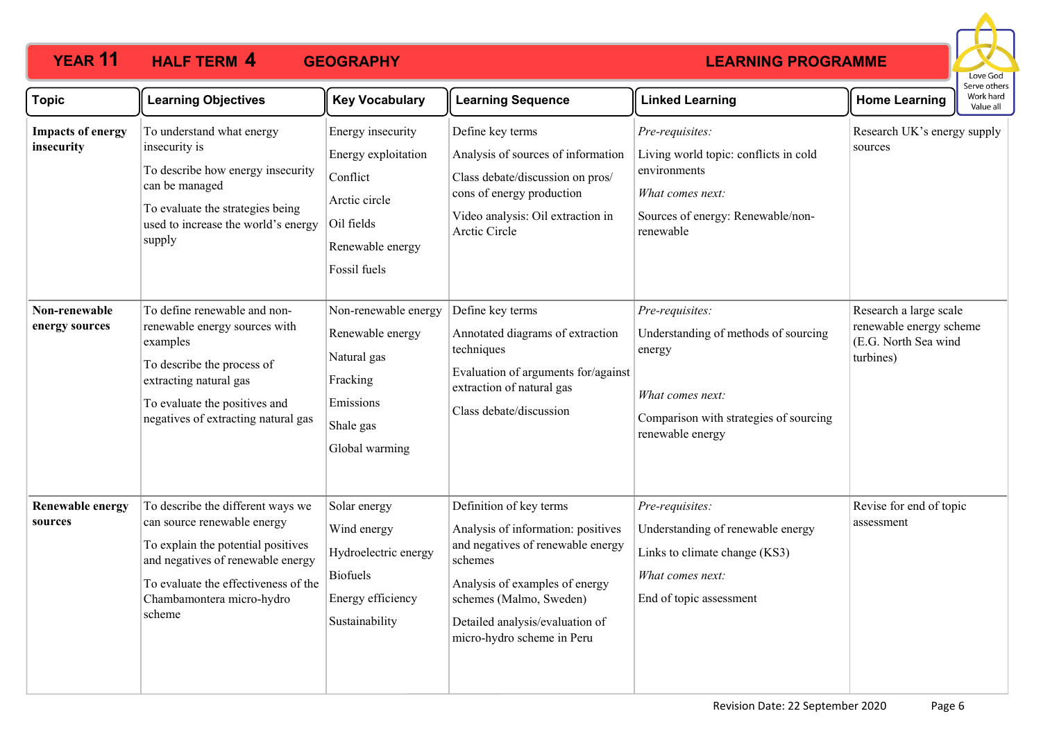

| <b>Topic</b>                           | <b>Learning Objectives</b>                                                                                                                                                                                                 | <b>Key Vocabulary</b>                                                                                                   | <b>Learning Sequence</b>                                                                                                                                                                                                                    | <b>Linked Learning</b>                                                                                                                              | <b>Home Learning</b>                                                                   | : וסנו וכו<br>Work hard<br>Value all |
|----------------------------------------|----------------------------------------------------------------------------------------------------------------------------------------------------------------------------------------------------------------------------|-------------------------------------------------------------------------------------------------------------------------|---------------------------------------------------------------------------------------------------------------------------------------------------------------------------------------------------------------------------------------------|-----------------------------------------------------------------------------------------------------------------------------------------------------|----------------------------------------------------------------------------------------|--------------------------------------|
| <b>Impacts of energy</b><br>insecurity | To understand what energy<br>insecurity is<br>To describe how energy insecurity<br>can be managed<br>To evaluate the strategies being<br>used to increase the world's energy<br>supply                                     | Energy insecurity<br>Energy exploitation<br>Conflict<br>Arctic circle<br>Oil fields<br>Renewable energy<br>Fossil fuels | Define key terms<br>Analysis of sources of information<br>Class debate/discussion on pros/<br>cons of energy production<br>Video analysis: Oil extraction in<br>Arctic Circle                                                               | Pre-requisites:<br>Living world topic: conflicts in cold<br>environments<br>What comes next:<br>Sources of energy: Renewable/non-<br>renewable      | Research UK's energy supply<br>sources                                                 |                                      |
| Non-renewable<br>energy sources        | To define renewable and non-<br>renewable energy sources with<br>examples<br>To describe the process of<br>extracting natural gas<br>To evaluate the positives and<br>negatives of extracting natural gas                  | Non-renewable energy<br>Renewable energy<br>Natural gas<br>Fracking<br>Emissions<br>Shale gas<br>Global warming         | Define key terms<br>Annotated diagrams of extraction<br>techniques<br>Evaluation of arguments for/against<br>extraction of natural gas<br>Class debate/discussion                                                                           | Pre-requisites:<br>Understanding of methods of sourcing<br>energy<br>What comes next:<br>Comparison with strategies of sourcing<br>renewable energy | Research a large scale<br>renewable energy scheme<br>(E.G. North Sea wind<br>turbines) |                                      |
| <b>Renewable energy</b><br>sources     | To describe the different ways we<br>can source renewable energy<br>To explain the potential positives<br>and negatives of renewable energy<br>To evaluate the effectiveness of the<br>Chambamontera micro-hydro<br>scheme | Solar energy<br>Wind energy<br>Hydroelectric energy<br><b>Biofuels</b><br>Energy efficiency<br>Sustainability           | Definition of key terms<br>Analysis of information: positives<br>and negatives of renewable energy<br>schemes<br>Analysis of examples of energy<br>schemes (Malmo, Sweden)<br>Detailed analysis/evaluation of<br>micro-hydro scheme in Peru | Pre-requisites:<br>Understanding of renewable energy<br>Links to climate change (KS3)<br>What comes next:<br>End of topic assessment                | Revise for end of topic<br>assessment                                                  |                                      |